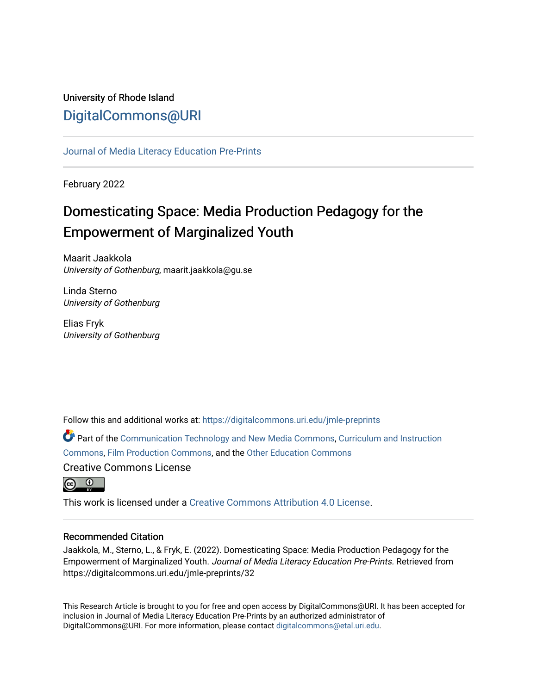## University of Rhode Island [DigitalCommons@URI](https://digitalcommons.uri.edu/)

[Journal of Media Literacy Education Pre-Prints](https://digitalcommons.uri.edu/jmle-preprints)

February 2022

# Domesticating Space: Media Production Pedagogy for the Empowerment of Marginalized Youth

Maarit Jaakkola University of Gothenburg, maarit.jaakkola@gu.se

Linda Sterno University of Gothenburg

Elias Fryk University of Gothenburg

Follow this and additional works at: [https://digitalcommons.uri.edu/jmle-preprints](https://digitalcommons.uri.edu/jmle-preprints?utm_source=digitalcommons.uri.edu%2Fjmle-preprints%2F32&utm_medium=PDF&utm_campaign=PDFCoverPages) 

Part of the [Communication Technology and New Media Commons,](http://network.bepress.com/hgg/discipline/327?utm_source=digitalcommons.uri.edu%2Fjmle-preprints%2F32&utm_medium=PDF&utm_campaign=PDFCoverPages) [Curriculum and Instruction](http://network.bepress.com/hgg/discipline/786?utm_source=digitalcommons.uri.edu%2Fjmle-preprints%2F32&utm_medium=PDF&utm_campaign=PDFCoverPages) [Commons](http://network.bepress.com/hgg/discipline/786?utm_source=digitalcommons.uri.edu%2Fjmle-preprints%2F32&utm_medium=PDF&utm_campaign=PDFCoverPages), [Film Production Commons](http://network.bepress.com/hgg/discipline/1290?utm_source=digitalcommons.uri.edu%2Fjmle-preprints%2F32&utm_medium=PDF&utm_campaign=PDFCoverPages), and the [Other Education Commons](http://network.bepress.com/hgg/discipline/811?utm_source=digitalcommons.uri.edu%2Fjmle-preprints%2F32&utm_medium=PDF&utm_campaign=PDFCoverPages) Creative Commons License



This work is licensed under a [Creative Commons Attribution 4.0 License](https://creativecommons.org/licenses/by/4.0/).

## Recommended Citation

Jaakkola, M., Sterno, L., & Fryk, E. (2022). Domesticating Space: Media Production Pedagogy for the Empowerment of Marginalized Youth. Journal of Media Literacy Education Pre-Prints. Retrieved from https://digitalcommons.uri.edu/jmle-preprints/32

This Research Article is brought to you for free and open access by DigitalCommons@URI. It has been accepted for inclusion in Journal of Media Literacy Education Pre-Prints by an authorized administrator of DigitalCommons@URI. For more information, please contact [digitalcommons@etal.uri.edu.](mailto:digitalcommons@etal.uri.edu)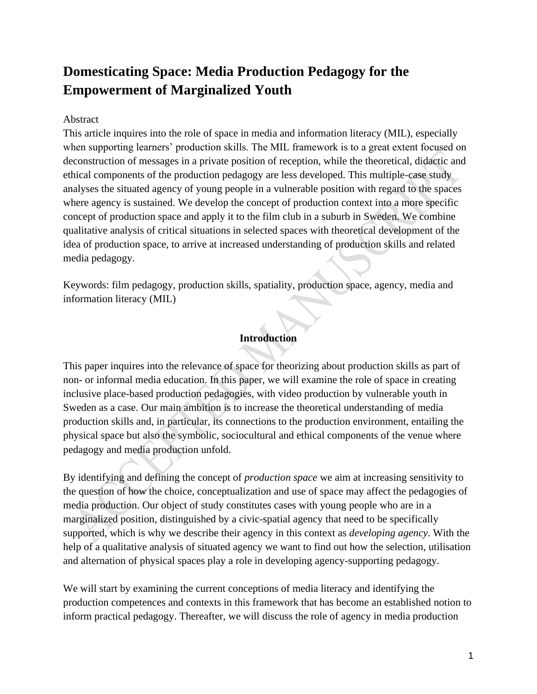## **Domesticating Space: Media Production Pedagogy for the Empowerment of Marginalized Youth**

## Abstract

This article inquires into the role of space in media and information literacy (MIL), especially when supporting learners' production skills. The MIL framework is to a great extent focused on deconstruction of messages in a private position of reception, while the theoretical, didactic and ethical components of the production pedagogy are less developed. This multiple-case study analyses the situated agency of young people in a vulnerable position with regard to the spaces where agency is sustained. We develop the concept of production context into a more specific concept of production space and apply it to the film club in a suburb in Sweden. We combine qualitative analysis of critical situations in selected spaces with theoretical development of the idea of production space, to arrive at increased understanding of production skills and related media pedagogy.

Keywords: film pedagogy, production skills, spatiality, production space, agency, media and information literacy (MIL)

## **Introduction**

This paper inquires into the relevance of space for theorizing about production skills as part of non- or informal media education. In this paper, we will examine the role of space in creating inclusive place-based production pedagogies, with video production by vulnerable youth in Sweden as a case. Our main ambition is to increase the theoretical understanding of media production skills and, in particular, its connections to the production environment, entailing the physical space but also the symbolic, sociocultural and ethical components of the venue where pedagogy and media production unfold.

By identifying and defining the concept of *production space* we aim at increasing sensitivity to the question of how the choice, conceptualization and use of space may affect the pedagogies of media production. Our object of study constitutes cases with young people who are in a marginalized position, distinguished by a civic-spatial agency that need to be specifically supported, which is why we describe their agency in this context as *developing agency*. With the help of a qualitative analysis of situated agency we want to find out how the selection, utilisation and alternation of physical spaces play a role in developing agency-supporting pedagogy.

We will start by examining the current conceptions of media literacy and identifying the production competences and contexts in this framework that has become an established notion to inform practical pedagogy. Thereafter, we will discuss the role of agency in media production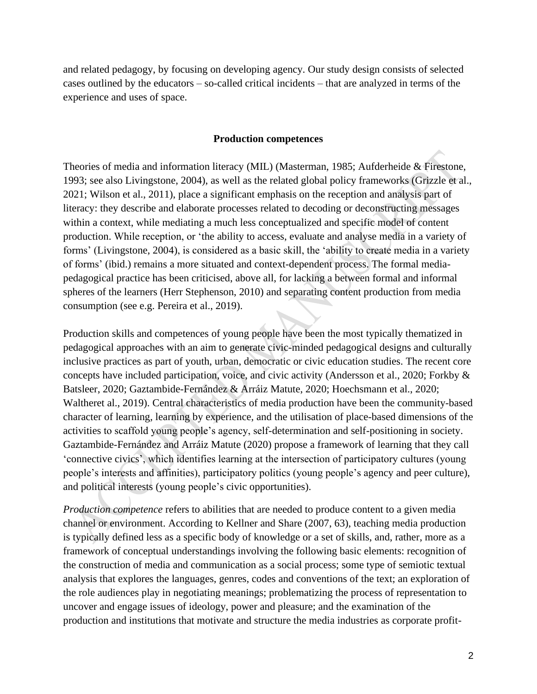and related pedagogy, by focusing on developing agency. Our study design consists of selected cases outlined by the educators – so-called critical incidents – that are analyzed in terms of the experience and uses of space.

#### **Production competences**

Theories of media and information literacy (MIL) (Masterman, 1985; Aufderheide & Firestone, 1993; see also Livingstone, 2004), as well as the related global policy frameworks (Grizzle et al., 2021; Wilson et al., 2011), place a significant emphasis on the reception and analysis part of literacy: they describe and elaborate processes related to decoding or deconstructing messages within a context, while mediating a much less conceptualized and specific model of content production. While reception, or 'the ability to access, evaluate and analyse media in a variety of forms' (Livingstone, 2004), is considered as a basic skill, the 'ability to create media in a variety of forms' (ibid.) remains a more situated and context-dependent process. The formal mediapedagogical practice has been criticised, above all, for lacking a between formal and informal spheres of the learners (Herr Stephenson, 2010) and separating content production from media consumption (see e.g. Pereira et al., 2019).

Production skills and competences of young people have been the most typically thematized in pedagogical approaches with an aim to generate civic-minded pedagogical designs and culturally inclusive practices as part of youth, urban, democratic or civic education studies. The recent core concepts have included participation, voice, and civic activity (Andersson et al., 2020; Forkby & Batsleer, 2020; Gaztambide-Fernández & Arráiz Matute, 2020; Hoechsmann et al., 2020; Waltheret al., 2019). Central characteristics of media production have been the community-based character of learning, learning by experience, and the utilisation of place-based dimensions of the activities to scaffold young people's agency, self-determination and self-positioning in society. Gaztambide-Fernández and Arráiz Matute (2020) propose a framework of learning that they call 'connective civics', which identifies learning at the intersection of participatory cultures (young people's interests and affinities), participatory politics (young people's agency and peer culture), and political interests (young people's civic opportunities).

*Production competence* refers to abilities that are needed to produce content to a given media channel or environment. According to Kellner and Share (2007, 63), teaching media production is typically defined less as a specific body of knowledge or a set of skills, and, rather, more as a framework of conceptual understandings involving the following basic elements: recognition of the construction of media and communication as a social process; some type of semiotic textual analysis that explores the languages, genres, codes and conventions of the text; an exploration of the role audiences play in negotiating meanings; problematizing the process of representation to uncover and engage issues of ideology, power and pleasure; and the examination of the production and institutions that motivate and structure the media industries as corporate profit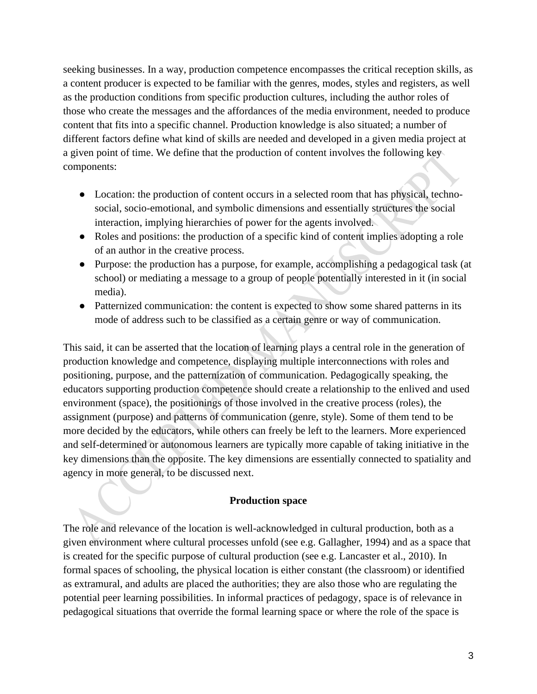seeking businesses. In a way, production competence encompasses the critical reception skills, as a content producer is expected to be familiar with the genres, modes, styles and registers, as well as the production conditions from specific production cultures, including the author roles of those who create the messages and the affordances of the media environment, needed to produce content that fits into a specific channel. Production knowledge is also situated; a number of different factors define what kind of skills are needed and developed in a given media project at a given point of time. We define that the production of content involves the following key components:

- Location: the production of content occurs in a selected room that has physical, technosocial, socio-emotional, and symbolic dimensions and essentially structures the social interaction, implying hierarchies of power for the agents involved.
- Roles and positions: the production of a specific kind of content implies adopting a role of an author in the creative process.
- Purpose: the production has a purpose, for example, accomplishing a pedagogical task (at school) or mediating a message to a group of people potentially interested in it (in social media).
- Patternized communication: the content is expected to show some shared patterns in its mode of address such to be classified as a certain genre or way of communication.

This said, it can be asserted that the location of learning plays a central role in the generation of production knowledge and competence, displaying multiple interconnections with roles and positioning, purpose, and the patternization of communication. Pedagogically speaking, the educators supporting production competence should create a relationship to the enlived and used environment (space), the positionings of those involved in the creative process (roles), the assignment (purpose) and patterns of communication (genre, style). Some of them tend to be more decided by the educators, while others can freely be left to the learners. More experienced and self-determined or autonomous learners are typically more capable of taking initiative in the key dimensions than the opposite. The key dimensions are essentially connected to spatiality and agency in more general, to be discussed next.

## **Production space**

The role and relevance of the location is well-acknowledged in cultural production, both as a given environment where cultural processes unfold (see e.g. Gallagher, 1994) and as a space that is created for the specific purpose of cultural production (see e.g. Lancaster et al., 2010). In formal spaces of schooling, the physical location is either constant (the classroom) or identified as extramural, and adults are placed the authorities; they are also those who are regulating the potential peer learning possibilities. In informal practices of pedagogy, space is of relevance in pedagogical situations that override the formal learning space or where the role of the space is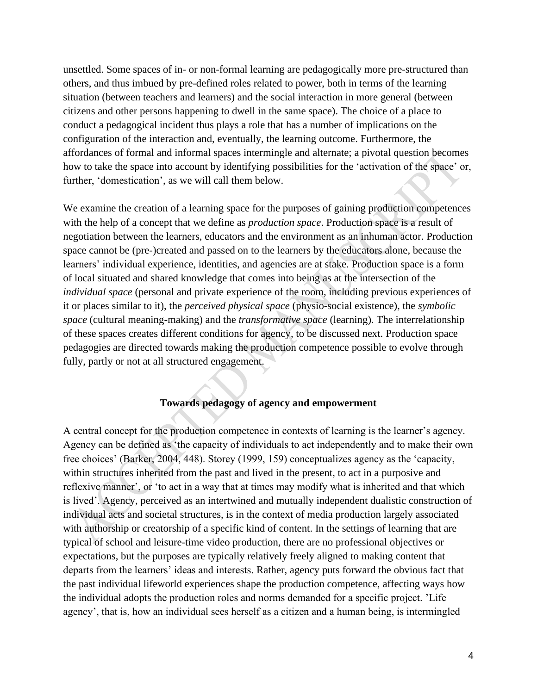unsettled. Some spaces of in- or non-formal learning are pedagogically more pre-structured than others, and thus imbued by pre-defined roles related to power, both in terms of the learning situation (between teachers and learners) and the social interaction in more general (between citizens and other persons happening to dwell in the same space). The choice of a place to conduct a pedagogical incident thus plays a role that has a number of implications on the configuration of the interaction and, eventually, the learning outcome. Furthermore, the affordances of formal and informal spaces intermingle and alternate; a pivotal question becomes how to take the space into account by identifying possibilities for the 'activation of the space' or, further, 'domestication', as we will call them below.

We examine the creation of a learning space for the purposes of gaining production competences with the help of a concept that we define as *production space*. Production space is a result of negotiation between the learners, educators and the environment as an inhuman actor. Production space cannot be (pre-)created and passed on to the learners by the educators alone, because the learners' individual experience, identities, and agencies are at stake. Production space is a form of local situated and shared knowledge that comes into being as at the intersection of the *individual space* (personal and private experience of the room, including previous experiences of it or places similar to it), the *perceived physical space* (physio-social existence), the *symbolic space* (cultural meaning-making) and the *transformative space* (learning). The interrelationship of these spaces creates different conditions for agency, to be discussed next. Production space pedagogies are directed towards making the production competence possible to evolve through fully, partly or not at all structured engagement.

## **Towards pedagogy of agency and empowerment**

A central concept for the production competence in contexts of learning is the learner's agency. Agency can be defined as 'the capacity of individuals to act independently and to make their own free choices' (Barker, 2004, 448). Storey (1999, 159) conceptualizes agency as the 'capacity, within structures inherited from the past and lived in the present, to act in a purposive and reflexive manner', or 'to act in a way that at times may modify what is inherited and that which is lived'. Agency, perceived as an intertwined and mutually independent dualistic construction of individual acts and societal structures, is in the context of media production largely associated with authorship or creatorship of a specific kind of content. In the settings of learning that are typical of school and leisure-time video production, there are no professional objectives or expectations, but the purposes are typically relatively freely aligned to making content that departs from the learners' ideas and interests. Rather, agency puts forward the obvious fact that the past individual lifeworld experiences shape the production competence, affecting ways how the individual adopts the production roles and norms demanded for a specific project. 'Life agency', that is, how an individual sees herself as a citizen and a human being, is intermingled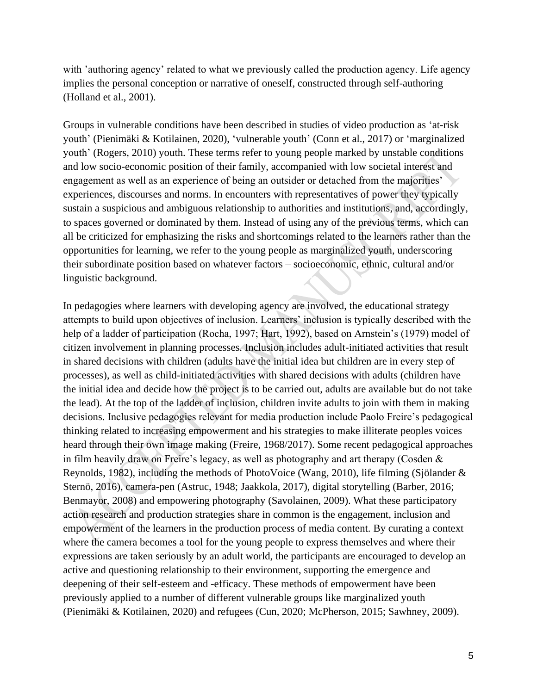with 'authoring agency' related to what we previously called the production agency. Life agency implies the personal conception or narrative of oneself, constructed through self-authoring (Holland et al., 2001).

Groups in vulnerable conditions have been described in studies of video production as 'at-risk youth' (Pienimäki & Kotilainen, 2020), 'vulnerable youth' (Conn et al., 2017) or 'marginalized youth' (Rogers, 2010) youth. These terms refer to young people marked by unstable conditions and low socio-economic position of their family, accompanied with low societal interest and engagement as well as an experience of being an outsider or detached from the majorities' experiences, discourses and norms. In encounters with representatives of power they typically sustain a suspicious and ambiguous relationship to authorities and institutions, and, accordingly, to spaces governed or dominated by them. Instead of using any of the previous terms, which can all be criticized for emphasizing the risks and shortcomings related to the learners rather than the opportunities for learning, we refer to the young people as marginalized youth, underscoring their subordinate position based on whatever factors – socioeconomic, ethnic, cultural and/or linguistic background.

In pedagogies where learners with developing agency are involved, the educational strategy attempts to build upon objectives of inclusion. Learners' inclusion is typically described with the help of a ladder of participation (Rocha, 1997; Hart, 1992), based on Arnstein's (1979) model of citizen involvement in planning processes. Inclusion includes adult-initiated activities that result in shared decisions with children (adults have the initial idea but children are in every step of processes), as well as child-initiated activities with shared decisions with adults (children have the initial idea and decide how the project is to be carried out, adults are available but do not take the lead). At the top of the ladder of inclusion, children invite adults to join with them in making decisions. Inclusive pedagogies relevant for media production include Paolo Freire's pedagogical thinking related to increasing empowerment and his strategies to make illiterate peoples voices heard through their own image making (Freire, 1968/2017). Some recent pedagogical approaches in film heavily draw on Freire's legacy, as well as photography and art therapy (Cosden & Reynolds, 1982), including the methods of PhotoVoice (Wang, 2010), life filming (Sjölander & Sternö, 2016), camera-pen (Astruc, 1948; Jaakkola, 2017), digital storytelling (Barber, 2016; Benmayor, 2008) and empowering photography (Savolainen, 2009). What these participatory action research and production strategies share in common is the engagement, inclusion and empowerment of the learners in the production process of media content. By curating a context where the camera becomes a tool for the young people to express themselves and where their expressions are taken seriously by an adult world, the participants are encouraged to develop an active and questioning relationship to their environment, supporting the emergence and deepening of their self-esteem and -efficacy. These methods of empowerment have been previously applied to a number of different vulnerable groups like marginalized youth (Pienimäki & Kotilainen, 2020) and refugees (Cun, 2020; McPherson, 2015; Sawhney, 2009).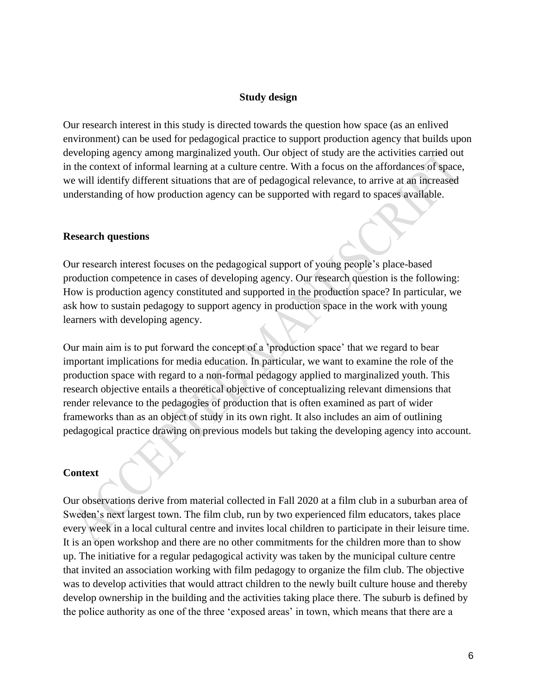### **Study design**

Our research interest in this study is directed towards the question how space (as an enlived environment) can be used for pedagogical practice to support production agency that builds upon developing agency among marginalized youth. Our object of study are the activities carried out in the context of informal learning at a culture centre. With a focus on the affordances of space, we will identify different situations that are of pedagogical relevance, to arrive at an increased understanding of how production agency can be supported with regard to spaces available.

#### **Research questions**

Our research interest focuses on the pedagogical support of young people's place-based production competence in cases of developing agency. Our research question is the following: How is production agency constituted and supported in the production space? In particular, we ask how to sustain pedagogy to support agency in production space in the work with young learners with developing agency.

Our main aim is to put forward the concept of a 'production space' that we regard to bear important implications for media education. In particular, we want to examine the role of the production space with regard to a non-formal pedagogy applied to marginalized youth. This research objective entails a theoretical objective of conceptualizing relevant dimensions that render relevance to the pedagogies of production that is often examined as part of wider frameworks than as an object of study in its own right. It also includes an aim of outlining pedagogical practice drawing on previous models but taking the developing agency into account.

#### **Context**

Our observations derive from material collected in Fall 2020 at a film club in a suburban area of Sweden's next largest town. The film club, run by two experienced film educators, takes place every week in a local cultural centre and invites local children to participate in their leisure time. It is an open workshop and there are no other commitments for the children more than to show up. The initiative for a regular pedagogical activity was taken by the municipal culture centre that invited an association working with film pedagogy to organize the film club. The objective was to develop activities that would attract children to the newly built culture house and thereby develop ownership in the building and the activities taking place there. The suburb is defined by the police authority as one of the three 'exposed areas' in town, which means that there are a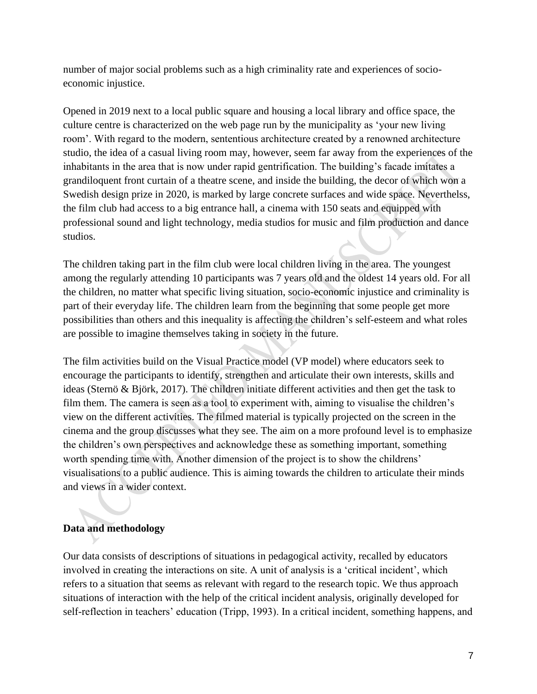number of major social problems such as a high criminality rate and experiences of socioeconomic injustice.

Opened in 2019 next to a local public square and housing a local library and office space, the culture centre is characterized on the web page run by the municipality as 'your new living room'. With regard to the modern, sententious architecture created by a renowned architecture studio, the idea of a casual living room may, however, seem far away from the experiences of the inhabitants in the area that is now under rapid gentrification. The building's facade imitates a grandiloquent front curtain of a theatre scene, and inside the building, the decor of which won a Swedish design prize in 2020, is marked by large concrete surfaces and wide space. Neverthelss, the film club had access to a big entrance hall, a cinema with 150 seats and equipped with professional sound and light technology, media studios for music and film production and dance studios.

The children taking part in the film club were local children living in the area. The youngest among the regularly attending 10 participants was 7 years old and the oldest 14 years old. For all the children, no matter what specific living situation, socio-economic injustice and criminality is part of their everyday life. The children learn from the beginning that some people get more possibilities than others and this inequality is affecting the children's self-esteem and what roles are possible to imagine themselves taking in society in the future.

The film activities build on the Visual Practice model (VP model) where educators seek to encourage the participants to identify, strengthen and articulate their own interests, skills and ideas (Sternö & Björk, 2017). The children initiate different activities and then get the task to film them. The camera is seen as a tool to experiment with, aiming to visualise the children's view on the different activities. The filmed material is typically projected on the screen in the cinema and the group discusses what they see. The aim on a more profound level is to emphasize the children's own perspectives and acknowledge these as something important, something worth spending time with. Another dimension of the project is to show the childrens' visualisations to a public audience. This is aiming towards the children to articulate their minds and views in a wider context.

## **Data and methodology**

Our data consists of descriptions of situations in pedagogical activity, recalled by educators involved in creating the interactions on site. A unit of analysis is a 'critical incident', which refers to a situation that seems as relevant with regard to the research topic. We thus approach situations of interaction with the help of the critical incident analysis, originally developed for self-reflection in teachers' education (Tripp, 1993). In a critical incident, something happens, and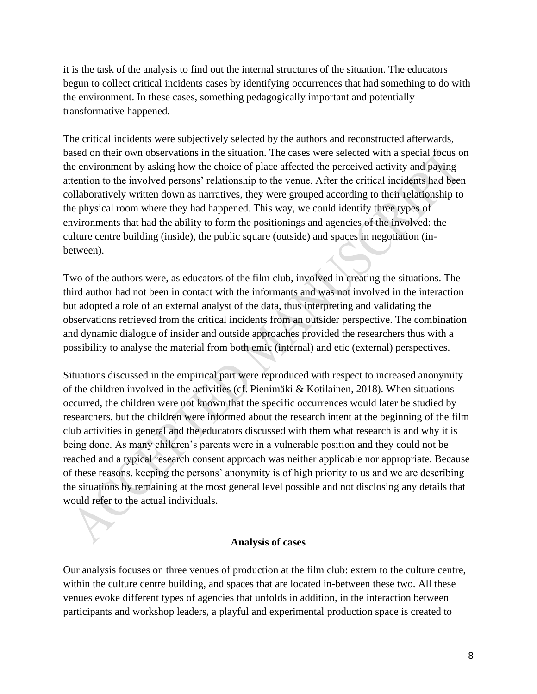it is the task of the analysis to find out the internal structures of the situation. The educators begun to collect critical incidents cases by identifying occurrences that had something to do with the environment. In these cases, something pedagogically important and potentially transformative happened.

The critical incidents were subjectively selected by the authors and reconstructed afterwards, based on their own observations in the situation. The cases were selected with a special focus on the environment by asking how the choice of place affected the perceived activity and paying attention to the involved persons' relationship to the venue. After the critical incidents had been collaboratively written down as narratives, they were grouped according to their relationship to the physical room where they had happened. This way, we could identify three types of environments that had the ability to form the positionings and agencies of the involved: the culture centre building (inside), the public square (outside) and spaces in negotiation (inbetween).

Two of the authors were, as educators of the film club, involved in creating the situations. The third author had not been in contact with the informants and was not involved in the interaction but adopted a role of an external analyst of the data, thus interpreting and validating the observations retrieved from the critical incidents from an outsider perspective. The combination and dynamic dialogue of insider and outside approaches provided the researchers thus with a possibility to analyse the material from both emic (internal) and etic (external) perspectives.

Situations discussed in the empirical part were reproduced with respect to increased anonymity of the children involved in the activities (cf. Pienimäki & Kotilainen, 2018). When situations occurred, the children were not known that the specific occurrences would later be studied by researchers, but the children were informed about the research intent at the beginning of the film club activities in general and the educators discussed with them what research is and why it is being done. As many children's parents were in a vulnerable position and they could not be reached and a typical research consent approach was neither applicable nor appropriate. Because of these reasons, keeping the persons' anonymity is of high priority to us and we are describing the situations by remaining at the most general level possible and not disclosing any details that would refer to the actual individuals.

## **Analysis of cases**

Our analysis focuses on three venues of production at the film club: extern to the culture centre, within the culture centre building, and spaces that are located in-between these two. All these venues evoke different types of agencies that unfolds in addition, in the interaction between participants and workshop leaders, a playful and experimental production space is created to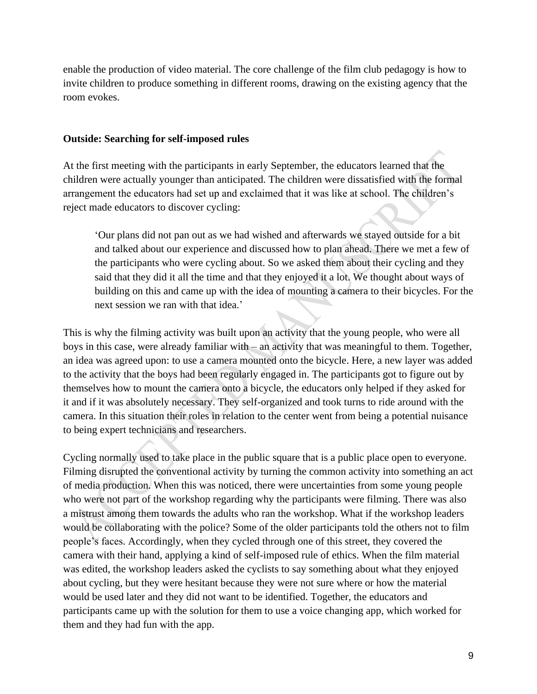enable the production of video material. The core challenge of the film club pedagogy is how to invite children to produce something in different rooms, drawing on the existing agency that the room evokes.

#### **Outside: Searching for self-imposed rules**

At the first meeting with the participants in early September, the educators learned that the children were actually younger than anticipated. The children were dissatisfied with the formal arrangement the educators had set up and exclaimed that it was like at school. The children's reject made educators to discover cycling:

'Our plans did not pan out as we had wished and afterwards we stayed outside for a bit and talked about our experience and discussed how to plan ahead. There we met a few of the participants who were cycling about. So we asked them about their cycling and they said that they did it all the time and that they enjoyed it a lot. We thought about ways of building on this and came up with the idea of mounting a camera to their bicycles. For the next session we ran with that idea.'

This is why the filming activity was built upon an activity that the young people, who were all boys in this case, were already familiar with – an activity that was meaningful to them. Together, an idea was agreed upon: to use a camera mounted onto the bicycle. Here, a new layer was added to the activity that the boys had been regularly engaged in. The participants got to figure out by themselves how to mount the camera onto a bicycle, the educators only helped if they asked for it and if it was absolutely necessary. They self-organized and took turns to ride around with the camera. In this situation their roles in relation to the center went from being a potential nuisance to being expert technicians and researchers.

Cycling normally used to take place in the public square that is a public place open to everyone. Filming disrupted the conventional activity by turning the common activity into something an act of media production. When this was noticed, there were uncertainties from some young people who were not part of the workshop regarding why the participants were filming. There was also a mistrust among them towards the adults who ran the workshop. What if the workshop leaders would be collaborating with the police? Some of the older participants told the others not to film people's faces. Accordingly, when they cycled through one of this street, they covered the camera with their hand, applying a kind of self-imposed rule of ethics. When the film material was edited, the workshop leaders asked the cyclists to say something about what they enjoyed about cycling, but they were hesitant because they were not sure where or how the material would be used later and they did not want to be identified. Together, the educators and participants came up with the solution for them to use a voice changing app, which worked for them and they had fun with the app.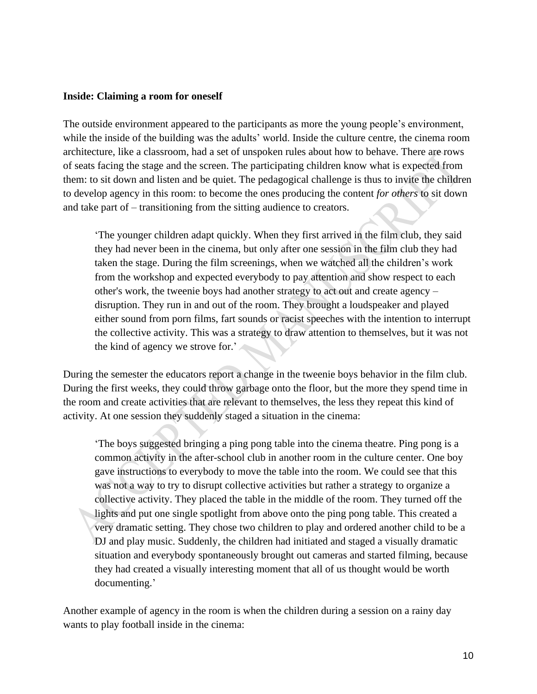### **Inside: Claiming a room for oneself**

The outside environment appeared to the participants as more the young people's environment, while the inside of the building was the adults' world. Inside the culture centre, the cinema room architecture, like a classroom, had a set of unspoken rules about how to behave. There are rows of seats facing the stage and the screen. The participating children know what is expected from them: to sit down and listen and be quiet. The pedagogical challenge is thus to invite the children to develop agency in this room: to become the ones producing the content *for others* to sit down and take part of – transitioning from the sitting audience to creators.

'The younger children adapt quickly. When they first arrived in the film club, they said they had never been in the cinema, but only after one session in the film club they had taken the stage. During the film screenings, when we watched all the children's work from the workshop and expected everybody to pay attention and show respect to each other's work, the tweenie boys had another strategy to act out and create agency – disruption. They run in and out of the room. They brought a loudspeaker and played either sound from porn films, fart sounds or racist speeches with the intention to interrupt the collective activity. This was a strategy to draw attention to themselves, but it was not the kind of agency we strove for.'

During the semester the educators report a change in the tweenie boys behavior in the film club. During the first weeks, they could throw garbage onto the floor, but the more they spend time in the room and create activities that are relevant to themselves, the less they repeat this kind of activity. At one session they suddenly staged a situation in the cinema:

'The boys suggested bringing a ping pong table into the cinema theatre. Ping pong is a common activity in the after-school club in another room in the culture center. One boy gave instructions to everybody to move the table into the room. We could see that this was not a way to try to disrupt collective activities but rather a strategy to organize a collective activity. They placed the table in the middle of the room. They turned off the lights and put one single spotlight from above onto the ping pong table. This created a very dramatic setting. They chose two children to play and ordered another child to be a DJ and play music. Suddenly, the children had initiated and staged a visually dramatic situation and everybody spontaneously brought out cameras and started filming, because they had created a visually interesting moment that all of us thought would be worth documenting.'

Another example of agency in the room is when the children during a session on a rainy day wants to play football inside in the cinema: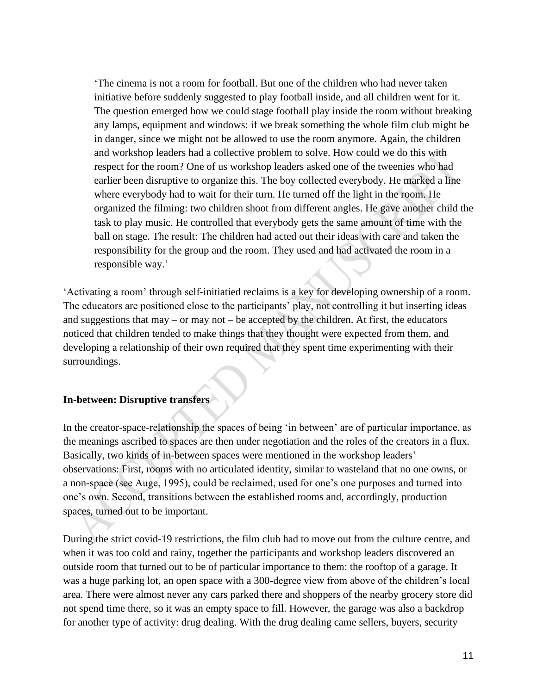'The cinema is not a room for football. But one of the children who had never taken initiative before suddenly suggested to play football inside, and all children went for it. The question emerged how we could stage football play inside the room without breaking any lamps, equipment and windows: if we break something the whole film club might be in danger, since we might not be allowed to use the room anymore. Again, the children and workshop leaders had a collective problem to solve. How could we do this with respect for the room? One of us workshop leaders asked one of the tweenies who had earlier been disruptive to organize this. The boy collected everybody. He marked a line where everybody had to wait for their turn. He turned off the light in the room. He organized the filming: two children shoot from different angles. He gave another child the task to play music. He controlled that everybody gets the same amount of time with the ball on stage. The result: The children had acted out their ideas with care and taken the responsibility for the group and the room. They used and had activated the room in a responsible way.'

'Activating a room' through self-initiatied reclaims is a key for developing ownership of a room. The educators are positioned close to the participants' play, not controlling it but inserting ideas and suggestions that may – or may not – be accepted by the children. At first, the educators noticed that children tended to make things that they thought were expected from them, and developing a relationship of their own required that they spent time experimenting with their surroundings.

## **In-between: Disruptive transfers**

In the creator-space-relationship the spaces of being 'in between' are of particular importance, as the meanings ascribed to spaces are then under negotiation and the roles of the creators in a flux. Basically, two kinds of in-between spaces were mentioned in the workshop leaders' observations: First, rooms with no articulated identity, similar to wasteland that no one owns, or a non-space (see Auge, 1995), could be reclaimed, used for one's one purposes and turned into one's own. Second, transitions between the established rooms and, accordingly, production spaces, turned out to be important.

During the strict covid-19 restrictions, the film club had to move out from the culture centre, and when it was too cold and rainy, together the participants and workshop leaders discovered an outside room that turned out to be of particular importance to them: the rooftop of a garage. It was a huge parking lot, an open space with a 300-degree view from above of the children's local area. There were almost never any cars parked there and shoppers of the nearby grocery store did not spend time there, so it was an empty space to fill. However, the garage was also a backdrop for another type of activity: drug dealing. With the drug dealing came sellers, buyers, security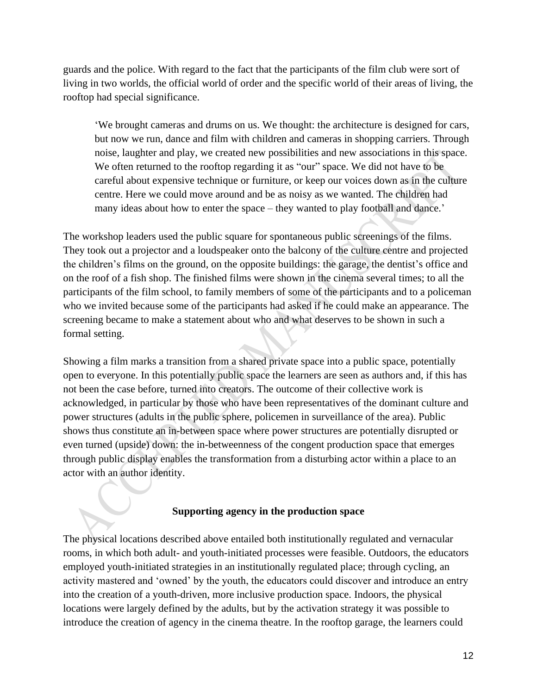guards and the police. With regard to the fact that the participants of the film club were sort of living in two worlds, the official world of order and the specific world of their areas of living, the rooftop had special significance.

'We brought cameras and drums on us. We thought: the architecture is designed for cars, but now we run, dance and film with children and cameras in shopping carriers. Through noise, laughter and play, we created new possibilities and new associations in this space. We often returned to the rooftop regarding it as "our" space. We did not have to be careful about expensive technique or furniture, or keep our voices down as in the culture centre. Here we could move around and be as noisy as we wanted. The children had many ideas about how to enter the space – they wanted to play football and dance.'

The workshop leaders used the public square for spontaneous public screenings of the films. They took out a projector and a loudspeaker onto the balcony of the culture centre and projected the children's films on the ground, on the opposite buildings: the garage, the dentist's office and on the roof of a fish shop. The finished films were shown in the cinema several times; to all the participants of the film school, to family members of some of the participants and to a policeman who we invited because some of the participants had asked if he could make an appearance. The screening became to make a statement about who and what deserves to be shown in such a formal setting.

Showing a film marks a transition from a shared private space into a public space, potentially open to everyone. In this potentially public space the learners are seen as authors and, if this has not been the case before, turned into creators. The outcome of their collective work is acknowledged, in particular by those who have been representatives of the dominant culture and power structures (adults in the public sphere, policemen in surveillance of the area). Public shows thus constitute an in-between space where power structures are potentially disrupted or even turned (upside) down: the in-betweenness of the congent production space that emerges through public display enables the transformation from a disturbing actor within a place to an actor with an author identity.

## **Supporting agency in the production space**

The physical locations described above entailed both institutionally regulated and vernacular rooms, in which both adult- and youth-initiated processes were feasible. Outdoors, the educators employed youth-initiated strategies in an institutionally regulated place; through cycling, an activity mastered and 'owned' by the youth, the educators could discover and introduce an entry into the creation of a youth-driven, more inclusive production space. Indoors, the physical locations were largely defined by the adults, but by the activation strategy it was possible to introduce the creation of agency in the cinema theatre. In the rooftop garage, the learners could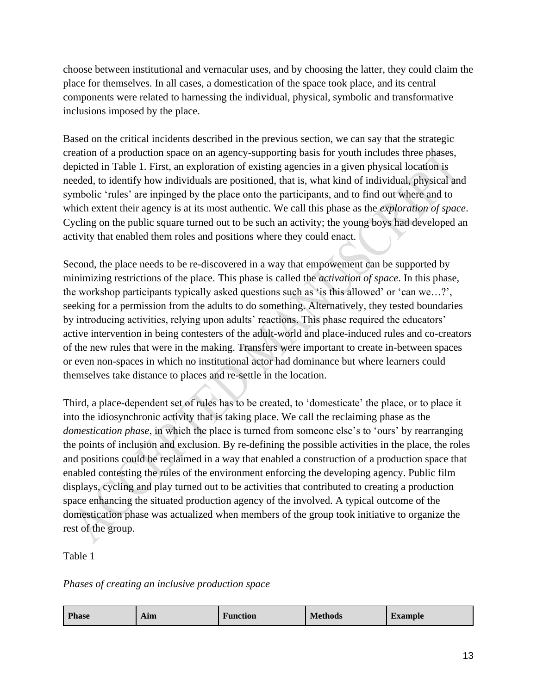choose between institutional and vernacular uses, and by choosing the latter, they could claim the place for themselves. In all cases, a domestication of the space took place, and its central components were related to harnessing the individual, physical, symbolic and transformative inclusions imposed by the place.

Based on the critical incidents described in the previous section, we can say that the strategic creation of a production space on an agency-supporting basis for youth includes three phases, depicted in Table 1. First, an exploration of existing agencies in a given physical location is needed, to identify how individuals are positioned, that is, what kind of individual, physical and symbolic 'rules' are inpinged by the place onto the participants, and to find out where and to which extent their agency is at its most authentic. We call this phase as the *exploration of space*. Cycling on the public square turned out to be such an activity; the young boys had developed an activity that enabled them roles and positions where they could enact.

Second, the place needs to be re-discovered in a way that empowement can be supported by minimizing restrictions of the place. This phase is called the *activation of space*. In this phase, the workshop participants typically asked questions such as 'is this allowed' or 'can we…?', seeking for a permission from the adults to do something. Alternatively, they tested boundaries by introducing activities, relying upon adults' reactions. This phase required the educators' active intervention in being contesters of the adult-world and place-induced rules and co-creators of the new rules that were in the making. Transfers were important to create in-between spaces or even non-spaces in which no institutional actor had dominance but where learners could themselves take distance to places and re-settle in the location.

Third, a place-dependent set of rules has to be created, to 'domesticate' the place, or to place it into the idiosynchronic activity that is taking place. We call the reclaiming phase as the *domestication phase*, in which the place is turned from someone else's to 'ours' by rearranging the points of inclusion and exclusion. By re-defining the possible activities in the place, the roles and positions could be reclaimed in a way that enabled a construction of a production space that enabled contesting the rules of the environment enforcing the developing agency. Public film displays, cycling and play turned out to be activities that contributed to creating a production space enhancing the situated production agency of the involved. A typical outcome of the domestication phase was actualized when members of the group took initiative to organize the rest of the group.

Table 1

*Phases of creating an inclusive production space*

| <b>Phase</b><br><b>Function</b><br>Aım | <b>Methods</b> | <b>Example</b> |
|----------------------------------------|----------------|----------------|
|----------------------------------------|----------------|----------------|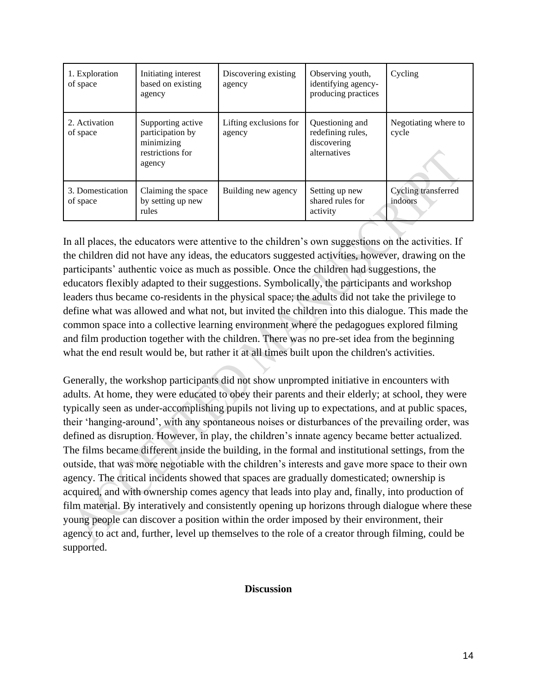| 1. Exploration<br>of space   | Initiating interest<br>based on existing<br>agency                                | Discovering existing<br>agency   | Observing youth,<br>identifying agency-<br>producing practices      | Cycling                        |
|------------------------------|-----------------------------------------------------------------------------------|----------------------------------|---------------------------------------------------------------------|--------------------------------|
| 2. Activation<br>of space    | Supporting active<br>participation by<br>minimizing<br>restrictions for<br>agency | Lifting exclusions for<br>agency | Questioning and<br>redefining rules,<br>discovering<br>alternatives | Negotiating where to<br>cycle  |
| 3. Domestication<br>of space | Claiming the space<br>by setting up new<br>rules                                  | Building new agency              | Setting up new<br>shared rules for<br>activity                      | Cycling transferred<br>indoors |

In all places, the educators were attentive to the children's own suggestions on the activities. If the children did not have any ideas, the educators suggested activities, however, drawing on the participants' authentic voice as much as possible. Once the children had suggestions, the educators flexibly adapted to their suggestions. Symbolically, the participants and workshop leaders thus became co-residents in the physical space; the adults did not take the privilege to define what was allowed and what not, but invited the children into this dialogue. This made the common space into a collective learning environment where the pedagogues explored filming and film production together with the children. There was no pre-set idea from the beginning what the end result would be, but rather it at all times built upon the children's activities.

Generally, the workshop participants did not show unprompted initiative in encounters with adults. At home, they were educated to obey their parents and their elderly; at school, they were typically seen as under-accomplishing pupils not living up to expectations, and at public spaces, their 'hanging-around', with any spontaneous noises or disturbances of the prevailing order, was defined as disruption. However, in play, the children's innate agency became better actualized. The films became different inside the building, in the formal and institutional settings, from the outside, that was more negotiable with the children's interests and gave more space to their own agency. The critical incidents showed that spaces are gradually domesticated; ownership is acquired, and with ownership comes agency that leads into play and, finally, into production of film material. By interatively and consistently opening up horizons through dialogue where these young people can discover a position within the order imposed by their environment, their agency to act and, further, level up themselves to the role of a creator through filming, could be supported.

## **Discussion**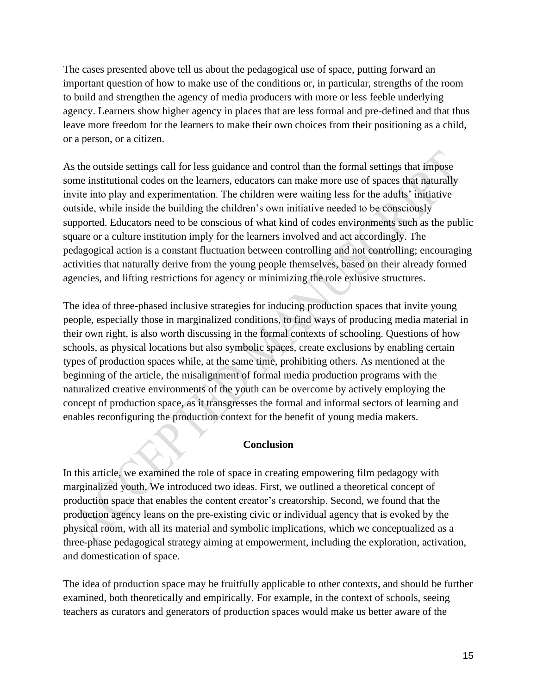The cases presented above tell us about the pedagogical use of space, putting forward an important question of how to make use of the conditions or, in particular, strengths of the room to build and strengthen the agency of media producers with more or less feeble underlying agency. Learners show higher agency in places that are less formal and pre-defined and that thus leave more freedom for the learners to make their own choices from their positioning as a child, or a person, or a citizen.

As the outside settings call for less guidance and control than the formal settings that impose some institutional codes on the learners, educators can make more use of spaces that naturally invite into play and experimentation. The children were waiting less for the adults' initiative outside, while inside the building the children's own initiative needed to be consciously supported. Educators need to be conscious of what kind of codes environments such as the public square or a culture institution imply for the learners involved and act accordingly. The pedagogical action is a constant fluctuation between controlling and not controlling; encouraging activities that naturally derive from the young people themselves, based on their already formed agencies, and lifting restrictions for agency or minimizing the role exlusive structures.

The idea of three-phased inclusive strategies for inducing production spaces that invite young people, especially those in marginalized conditions, to find ways of producing media material in their own right, is also worth discussing in the formal contexts of schooling. Questions of how schools, as physical locations but also symbolic spaces, create exclusions by enabling certain types of production spaces while, at the same time, prohibiting others. As mentioned at the beginning of the article, the misalignment of formal media production programs with the naturalized creative environments of the youth can be overcome by actively employing the concept of production space, as it transgresses the formal and informal sectors of learning and enables reconfiguring the production context for the benefit of young media makers.

## **Conclusion**

In this article, we examined the role of space in creating empowering film pedagogy with marginalized youth. We introduced two ideas. First, we outlined a theoretical concept of production space that enables the content creator's creatorship. Second, we found that the production agency leans on the pre-existing civic or individual agency that is evoked by the physical room, with all its material and symbolic implications, which we conceptualized as a three-phase pedagogical strategy aiming at empowerment, including the exploration, activation, and domestication of space.

The idea of production space may be fruitfully applicable to other contexts, and should be further examined, both theoretically and empirically. For example, in the context of schools, seeing teachers as curators and generators of production spaces would make us better aware of the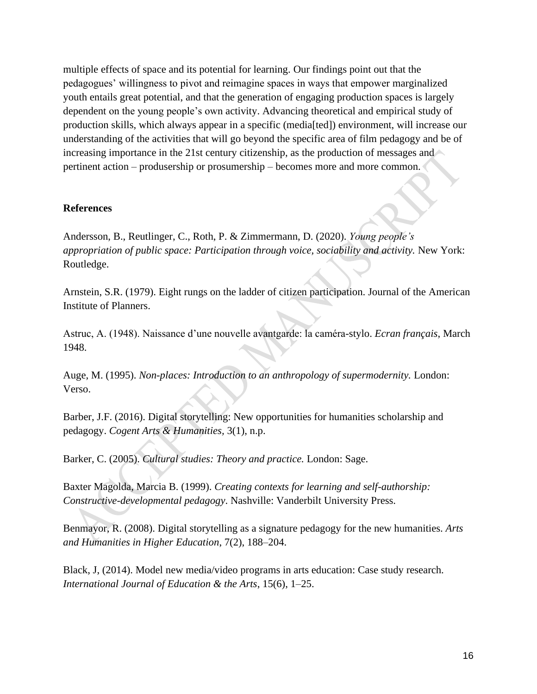multiple effects of space and its potential for learning. Our findings point out that the pedagogues' willingness to pivot and reimagine spaces in ways that empower marginalized youth entails great potential, and that the generation of engaging production spaces is largely dependent on the young people's own activity. Advancing theoretical and empirical study of production skills, which always appear in a specific (media[ted]) environment, will increase our understanding of the activities that will go beyond the specific area of film pedagogy and be of increasing importance in the 21st century citizenship, as the production of messages and pertinent action – produsership or prosumership – becomes more and more common.

## **References**

Andersson, B., Reutlinger, C., Roth, P. & Zimmermann, D. (2020). *Young people's appropriation of public space: Participation through voice, sociability and activity.* New York: Routledge.

Arnstein, S.R. (1979). Eight rungs on the ladder of citizen participation. Journal of the American Institute of Planners.

Astruc, A. (1948). Naissance d'une nouvelle avantgarde: la caméra-stylo. *Ecran français*, March 1948.

Auge, M. (1995). *Non-places: Introduction to an anthropology of supermodernity.* London: Verso.

Barber, J.F. (2016). Digital storytelling: New opportunities for humanities scholarship and pedagogy. *Cogent Arts & Humanities,* 3(1), n.p.

Barker, C. (2005). *Cultural studies: Theory and practice.* London: Sage.

Baxter Magolda, Marcia B. (1999). *Creating contexts for learning and self-authorship: Constructive-developmental pedagogy*. Nashville: Vanderbilt University Press.

Benmayor, R. (2008). Digital storytelling as a signature pedagogy for the new humanities. *Arts and Humanities in Higher Education*, 7(2), 188–204.

Black, J, (2014). Model new media/video programs in arts education: Case study research. *International Journal of Education & the Arts*, 15(6), 1–25.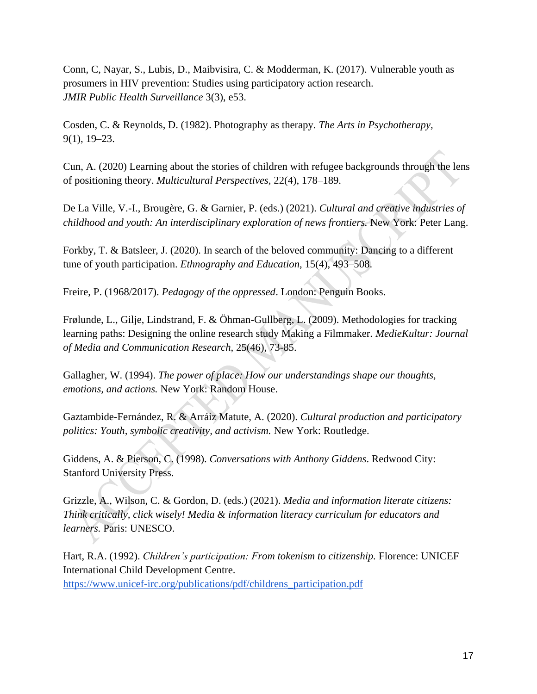Conn, C, Nayar, S., Lubis, D., Maibvisira, C. & Modderman, K. (2017). Vulnerable youth as prosumers in HIV prevention: Studies using participatory action research. *JMIR Public Health Surveillance* 3(3), e53.

Cosden, C. & Reynolds, D. (1982). Photography as therapy. *The Arts in Psychotherapy,* 9(1), 19–23.

Cun, A. (2020) Learning about the stories of children with refugee backgrounds through the lens of positioning theory. *Multicultural Perspectives,* 22(4), 178–189.

De La Ville, V.-I., Brougère, G. & Garnier, P. (eds.) (2021). *Cultural and creative industries of childhood and youth: An interdisciplinary exploration of news frontiers.* New York: Peter Lang.

Forkby, T. & Batsleer, J. (2020). In search of the beloved community: Dancing to a different tune of youth participation. *Ethnography and Education*, 15(4), 493–508.

Freire, P. (1968/2017). *Pedagogy of the oppressed*. London: Penguin Books.

Frølunde, L., Gilje, Lindstrand, F. & Öhman-Gullberg, L. (2009). Methodologies for tracking learning paths: Designing the online research study Making a Filmmaker. *MedieKultur: Journal of Media and Communication Research*, 25(46), 73-85.

Gallagher, W. (1994). *The power of place: How our understandings shape our thoughts, emotions, and actions.* New York: Random House.

Gaztambide-Fernández, R. & Arráiz Matute, A. (2020). *Cultural production and participatory politics: Youth, symbolic creativity, and activism.* New York: Routledge.

Giddens, A. & Pierson, C. (1998). *Conversations with Anthony Giddens*. Redwood City: Stanford University Press.

Grizzle, A., Wilson, C. & Gordon, D. (eds.) (2021). *Media and information literate citizens: Think critically, click wisely! Media & information literacy curriculum for educators and learners.* Paris: UNESCO.

Hart, R.A. (1992). *Children's participation: From tokenism to citizenship.* Florence: UNICEF International Child Development Centre. https://www.unicef-irc.org/publications/pdf/childrens\_participation.pdf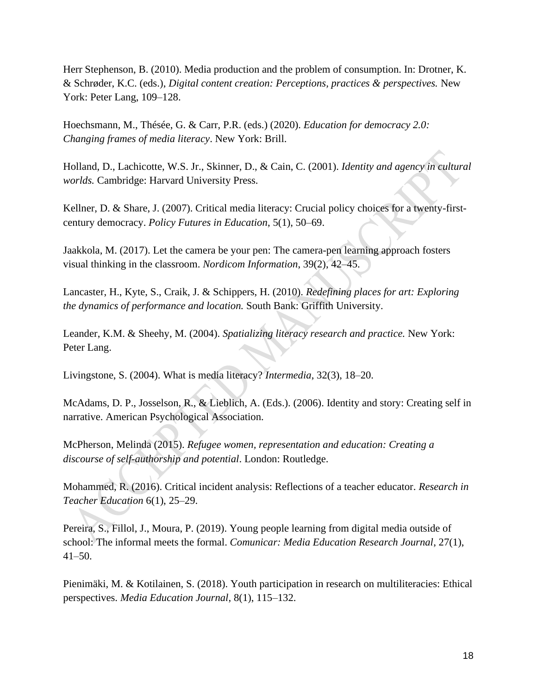Herr Stephenson, B. (2010). Media production and the problem of consumption. In: Drotner, K. & Schrøder, K.C. (eds.), *Digital content creation: Perceptions, practices & perspectives.* New York: Peter Lang, 109–128.

Hoechsmann, M., Thésée, G. & Carr, P.R. (eds.) (2020). *Education for democracy 2.0: Changing frames of media literacy*. New York: Brill.

Holland, D., Lachicotte, W.S. Jr., Skinner, D., & Cain, C. (2001). *Identity and agency in cultural worlds.* Cambridge: Harvard University Press.

Kellner, D. & Share, J. (2007). Critical media literacy: Crucial policy choices for a twenty-firstcentury democracy. *Policy Futures in Education*, 5(1), 50–69.

Jaakkola, M. (2017). Let the camera be your pen: The camera-pen learning approach fosters visual thinking in the classroom. *Nordicom Information*, 39(2), 42–45.

Lancaster, H., Kyte, S., Craik, J. & Schippers, H. (2010). *Redefining places for art: Exploring the dynamics of performance and location.* South Bank: Griffith University.

Leander, K.M. & Sheehy, M. (2004). *Spatializing literacy research and practice.* New York: Peter Lang.

Livingstone, S. (2004). What is media literacy? *Intermedia*, 32(3), 18–20.

McAdams, D. P., Josselson, R., & Lieblich, A. (Eds.). (2006). Identity and story: Creating self in narrative. American Psychological Association.

McPherson, Melinda (2015). *Refugee women, representation and education: Creating a discourse of self-authorship and potential*. London: Routledge.

Mohammed, R. (2016). Critical incident analysis: Reflections of a teacher educator. *Research in Teacher Education* 6(1), 25–29.

Pereira, S., Fillol, J., Moura, P. (2019). Young people learning from digital media outside of school: The informal meets the formal. *Comunicar: Media Education Research Journal*, 27(1),  $41 - 50$ .

Pienimäki, M. & Kotilainen, S. (2018). Youth participation in research on multiliteracies: Ethical perspectives. *Media Education Journal*, 8(1), 115–132.